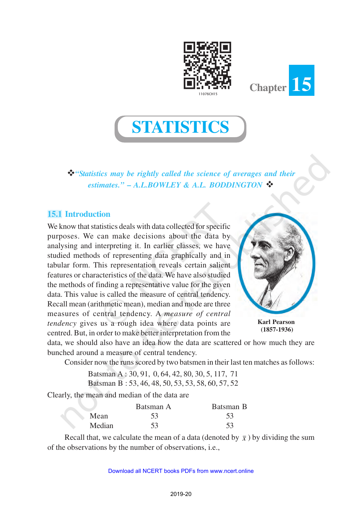



**STATISTICS**

v*"Statistics may be rightly called the science of averages and their estimates."* **–** *A.L.BOWLEY & A.L. BODDINGTON* v

# **15.1 Introduction**

We know that statistics deals with data collected for specific purposes. We can make decisions about the data by analysing and interpreting it. In earlier classes, we have studied methods of representing data graphically and in tabular form. This representation reveals certain salient features or characteristics of the data. We have also studied the methods of finding a representative value for the given data. This value is called the measure of central tendency. Recall mean (arithmetic mean), median and mode are three measures of central tendency. A *measure of central tendency* gives us a rough idea where data points are centred. But, in order to make better interpretation from the



**Karl Pearson (1857-1936)**

data, we should also have an idea how the data are scattered or how much they are bunched around a measure of central tendency.

Consider now the runs scored by two batsmen in their last ten matches as follows:

Batsman A : 30, 91, 0, 64, 42, 80, 30, 5, 117, 71 Batsman B : 53, 46, 48, 50, 53, 53, 58, 60, 57, 52

Clearly, the mean and median of the data are

|        | Batsman A | Batsman B |
|--------|-----------|-----------|
| Mean   | 53        | 53        |
| Median | 53        | 53        |

Recall that, we calculate the mean of a data (denoted by  $\bar{x}$ ) by dividing the sum of the observations by the number of observations, i.e.,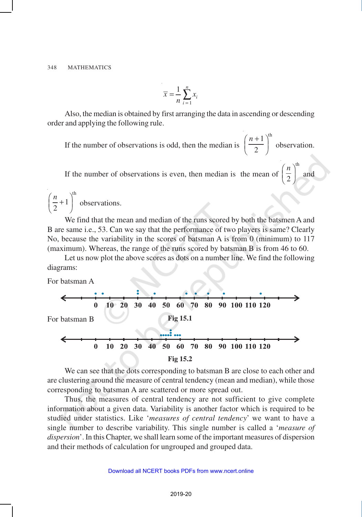$$
\overline{x} = \frac{1}{n} \sum_{i=1}^{n} x_i
$$

Also, the median is obtained by first arranging the data in ascending or descending order and applying the following rule.

If the number of observations is odd, then the median is  $1^{\text{th}}$ 2  $(n+1)$  $\left(\frac{\overline{a}}{2}\right)$  observation.

th

If the number of observations is even, then median is the mean of 2 *n*  $\left(\frac{\overline{}}{2}\right)$  and

th 1 2  $\left(\frac{n}{2}+1\right)^{n}$  observations.

We find that the mean and median of the runs scored by both the batsmen A and B are same i.e., 53. Can we say that the performance of two players is same? Clearly No, because the variability in the scores of batsman A is from 0 (minimum) to 117 (maximum). Whereas, the range of the runs scored by batsman B is from 46 to 60.

Let us now plot the above scores as dots on a number line. We find the following diagrams:

For batsman A



We can see that the dots corresponding to batsman B are close to each other and are clustering around the measure of central tendency (mean and median), while those corresponding to batsman A are scattered or more spread out.

Thus, the measures of central tendency are not sufficient to give complete information about a given data. Variability is another factor which is required to be studied under statistics. Like '*measures of central tendency*' we want to have a single number to describe variability. This single number is called a '*measure of dispersion*'. In this Chapter, we shall learn some of the important measures of dispersion and their methods of calculation for ungrouped and grouped data.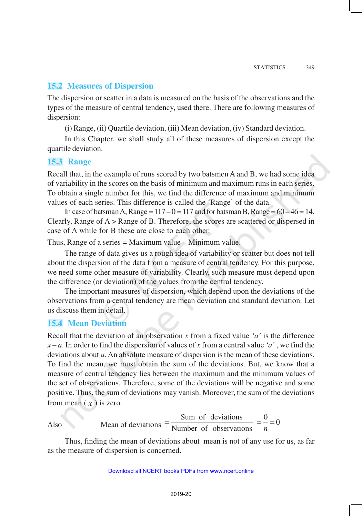## **15.2 Measures of Dispersion**

The dispersion or scatter in a data is measured on the basis of the observations and the types of the measure of central tendency, used there. There are following measures of dispersion:

(i) Range, (ii) Quartile deviation, (iii) Mean deviation, (iv) Standard deviation.

In this Chapter, we shall study all of these measures of dispersion except the quartile deviation.

## **15.3 Range**

Recall that, in the example of runs scored by two batsmen A and B, we had some idea of variability in the scores on the basis of minimum and maximum runs in each series. To obtain a single number for this, we find the difference of maximum and minimum values of each series. This difference is called the 'Range' of the data.

In case of batsman A, Range =  $117 - 0 = 117$  and for batsman B, Range =  $60 - 46 = 14$ . Clearly, Range of A > Range of B. Therefore, the scores are scattered or dispersed in case of A while for B these are close to each other.

Thus, Range of a series = Maximum value – Minimum value.

The range of data gives us a rough idea of variability or scatter but does not tell about the dispersion of the data from a measure of central tendency. For this purpose, we need some other measure of variability. Clearly, such measure must depend upon the difference (or deviation) of the values from the central tendency.

The important measures of dispersion, which depend upon the deviations of the observations from a central tendency are mean deviation and standard deviation. Let us discuss them in detail.

## **15.4 Mean Deviation**

Recall that the deviation of an observation *x* from a fixed value *'a'* is the difference  $x - a$ . In order to find the dispersion of values of *x* from a central value *'a'*, we find the deviations about *a*. An absolute measure of dispersion is the mean of these deviations. To find the mean, we must obtain the sum of the deviations. But, we know that a measure of central tendency lies between the maximum and the minimum values of the set of observations. Therefore, some of the deviations will be negative and some positive. Thus, the sum of deviations may vanish. Moreover, the sum of the deviations from mean  $(\bar{x})$  is zero.

Also Mean of deviations 
$$
=
$$
  $\frac{\text{Sum of deviations}}{\text{Number of observations}} = \frac{0}{n} = 0$ 

Thus, finding the mean of deviations about mean is not of any use for us, as far as the measure of dispersion is concerned.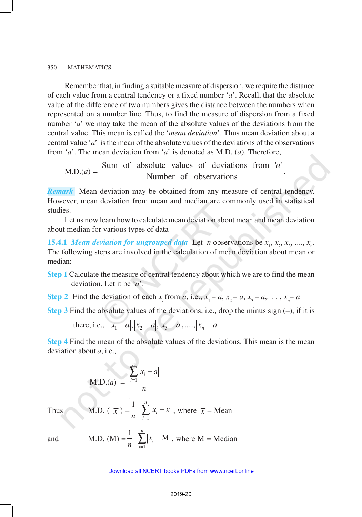Remember that, in finding a suitable measure of dispersion, we require the distance of each value from a central tendency or a fixed number '*a*'. Recall, that the absolute value of the difference of two numbers gives the distance between the numbers when represented on a number line. Thus, to find the measure of dispersion from a fixed number '*a*' we may take the mean of the absolute values of the deviations from the central value. This mean is called the '*mean deviation*'. Thus mean deviation about a central value '*a*' is the mean of the absolute values of the deviations of the observations from '*a*'. The mean deviation from '*a*' is denoted as M.D. (*a*). Therefore,

M.D.
$$
(a) = \frac{\text{Sum of absolute values of deviations from } 'a' \text{.}}{\text{Number of observations}}
$$

*Remark* Mean deviation may be obtained from any measure of central tendency. However, mean deviation from mean and median are commonly used in statistical studies.

.

Let us now learn how to calculate mean deviation about mean and mean deviation about median for various types of data

**15.4.1** *Mean deviation for ungrouped data* Let *n* observations be  $x_1, x_2, x_3, \ldots, x_n$ . The following steps are involved in the calculation of mean deviation about mean or median:

- **Step 1** Calculate the measure of central tendency about which we are to find the mean deviation. Let it be '*a*'.
- **Step 2** Find the deviation of each  $x_i$  from *a*, i.e.,  $x_1 a$ ,  $x_2 a$ ,  $x_3 a$ , ...,  $x_n a$
- **Step 3** Find the absolute values of the deviations, i.e., drop the minus sign  $(-)$ , if it is

there, i.e., 
$$
|x_1 - a|, |x_2 - a|, |x_3 - a|, \dots, |x_n - a|
$$

**Step 4** Find the mean of the absolute values of the deviations. This mean is the mean deviation about *a*, i.e.,

M.D.(a) = 
$$
\frac{\sum_{i=1}^{n} |x_i - a|}{n}
$$
  
M.D. ( $\overline{x}$ ) =  $\frac{1}{n} \sum_{i=1}^{n} |x_i - \overline{x}|$ , where  $\overline{x}$  = Mean  
M.D. (M) =  $\frac{1}{n} \sum_{i=1}^{n} |x_i - M|$ , where M = Media

Thus

and

M.D. (M) = 
$$
\frac{1}{n} \sum_{i=1}^{n} |x_i - M|
$$
, where M = Median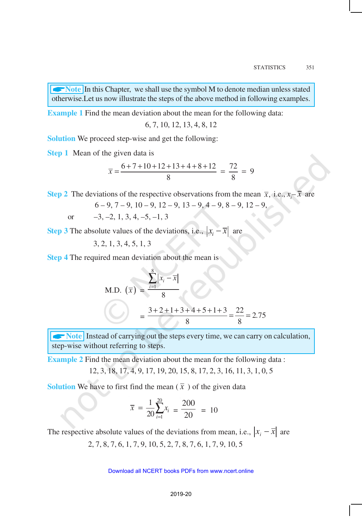**ANote** In this Chapter, we shall use the symbol M to denote median unless stated otherwise.Let us now illustrate the steps of the above method in following examples.

**Example 1** Find the mean deviation about the mean for the following data:

6, 7, 10, 12, 13, 4, 8, 12

**Solution** We proceed step-wise and get the following:

**Step 1** Mean of the given data is

$$
\overline{x} = \frac{6 + 7 + 10 + 12 + 13 + 4 + 8 + 12}{8} = \frac{72}{8} = 9
$$

**Step 2** The deviations of the respective observations from the mean  $\bar{x}$ , i.e.,  $x_i - \bar{x}$  are

$$
6-9, 7-9, 10-9, 12-9, 13-9, 4-9, 8-9, 12-9,
$$

or  $-3, -2, 1, 3, 4, -5, -1, 3$ 

**Step 3** The absolute values of the deviations, i.e.,  $|x_i - \overline{x}|$  are

3, 2, 1, 3, 4, 5, 1, 3

**Step 4** The required mean deviation about the mean is

M.D. 
$$
(\overline{x}) = \frac{\sum_{i=1}^{8} |x_i - \overline{x}|}{8}
$$
  
=  $\frac{3+2+1+3+4+5+1+3}{8} = \frac{22}{8} = 2.75$ 

**ANOTE** Instead of carrying out the steps every time, we can carry on calculation, step-wise without referring to steps.

**Example 2** Find the mean deviation about the mean for the following data:

12, 3, 18, 17, 4, 9, 17, 19, 20, 15, 8, 17, 2, 3, 16, 11, 3, 1, 0, 5

**Solution** We have to first find the mean  $(\bar{x})$  of the given data

$$
\overline{x} = \frac{1}{20} \sum_{i=1}^{20} x_i = \frac{200}{20} = 10
$$

The respective absolute values of the deviations from mean, i.e.,  $|x_i - \overline{x}|$  are

2, 7, 8, 7, 6, 1, 7, 9, 10, 5, 2, 7, 8, 7, 6, 1, 7, 9, 10, 5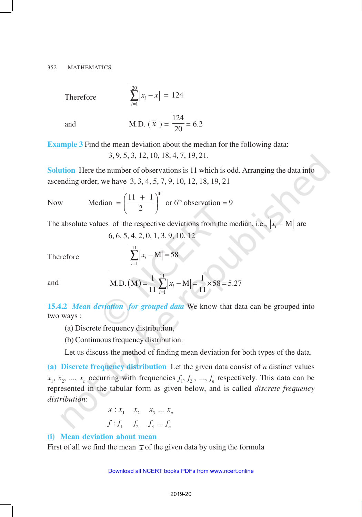Therefore

$$
\sum_{i=1}^{20} |x_i - \overline{x}| = 124
$$

20

*i*

=

and M.D. 
$$
(\bar{x}) = \frac{124}{20} = 6.2
$$

**Example 3** Find the mean deviation about the median for the following data: 3, 9, 5, 3, 12, 10, 18, 4, 7, 19, 21.

**Solution** Here the number of observations is 11 which is odd. Arranging the data into ascending order, we have 3, 3, 4, 5, 7, 9, 10, 12, 18, 19, 21

Now Median = 
$$
\left(\frac{11 + 1}{2}\right)^{th}
$$
 or 6<sup>th</sup> observation = 9

The absolute values of the respective deviations from the median, i.e.,  $|x_i - M|$ 

$$
6, 6, 5, 4, 2, 0, 1, 3, 9, 10, 12
$$

Therefore

$$
\sum_{i=1}^{11} |x_i - \mathbf{M}| = 58
$$

and M.D. (M) = 
$$
\frac{1}{11} \sum_{i=1}^{11} |x_i - M| = \frac{1}{11} \times 58 = 5.27
$$

**15.4.2** *Mean deviation for grouped data* We know that data can be grouped into two ways :

- (a) Discrete frequency distribution,
- (b) Continuous frequency distribution.

Let us discuss the method of finding mean deviation for both types of the data.

**(a) Discrete frequency distribution** Let the given data consist of *n* distinct values  $x_1, x_2, ..., x_n$  occurring with frequencies  $f_1, f_2, ..., f_n$  respectively. This data can be represented in the tabular form as given below, and is called *discrete frequency distribution*:

$$
x: x_1 \quad x_2 \quad x_3 \dots x_n
$$

$$
f: f_1 \quad f_2 \quad f_3 \dots f_n
$$

## **(i) Mean deviation about mean**

First of all we find the mean  $\bar{x}$  of the given data by using the formula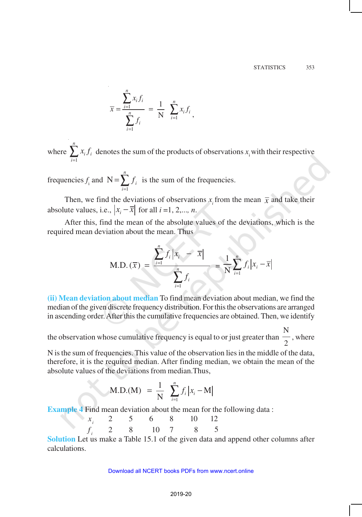$$
\bar{x} = \frac{\sum_{i=1}^{n} x_i f_i}{\sum_{i=1}^{n} f_i} = \frac{1}{N} \sum_{i=1}^{n} x_i f_i,
$$

where  $\sum_{i=1}^{n}$ *i*  $x_i f_i$  $\int_{1}^{1} x_i f_i$  denotes the sum of the products of observations  $x_i$  with their respective

frequencies  $f_i$  and  $N = \sum_{i=1}^{n}$ *i i f* 1  $N = \sum f_i$  is the sum of the frequencies.

Then, we find the deviations of observations  $x_i$  from the mean  $\bar{x}$  and take their absolute values, i.e.,  $|x_i - \overline{x}|$  for all  $i = 1, 2,..., n$ .

After this, find the mean of the absolute values of the deviations, which is the required mean deviation about the mean. Thus

M.D. 
$$
(\overline{x}) = \frac{\sum_{i=1}^{n} f_i |x_i - \overline{x}|}{\sum_{i=1}^{n} f_i} = \frac{1}{N} \sum_{i=1}^{n} f_i |x_i - \overline{x}|
$$

**(ii) Mean deviation about median** To find mean deviation about median, we find the median of the given discrete frequency distribution. For this the observations are arranged in ascending order. After this the cumulative frequencies are obtained. Then, we identify

the observation whose cumulative frequency is equal to or just greater than N 2 , where

N is the sum of frequencies. This value of the observation lies in the middle of the data, therefore, it is the required median. After finding median, we obtain the mean of the absolute values of the deviations from median.Thus,

$$
\text{M.D.}(\text{M}) = \frac{1}{N} \sum_{i=1}^{n} f_i |x_i - \text{M}|
$$

**Example 4** Find mean deviation about the mean for the following data :

| $x_i$ | 2 | 5 | 6  | 8 | 10 | 12 |
|-------|---|---|----|---|----|----|
| $f_i$ | 2 | 8 | 10 | 7 | 8  | 5  |

**Solution** Let us make a Table 15.1 of the given data and append other columns after calculations.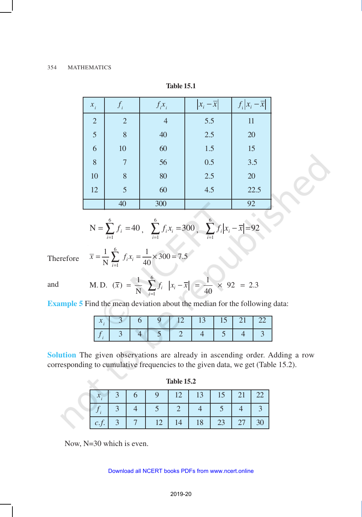| $x_i$          | $J_i$          | $f_i x_i$      | $ x_i - \overline{x} $ | $f_i x_i - \overline{x} $ |
|----------------|----------------|----------------|------------------------|---------------------------|
| $\overline{2}$ | $\overline{2}$ | $\overline{4}$ | 5.5                    | 11                        |
| 5              | 8              | 40             | 2.5                    | 20                        |
| 6              | 10             | 60             | 1.5                    | 15                        |
| $8\phantom{1}$ | 7              | 56             | 0.5                    | 3.5                       |
| 10             | 8              | 80             | 2.5                    | $20\,$                    |
| 12             | 5              | 60             | 4.5                    | 22.5                      |
|                | 40             | 300            |                        | 92                        |

**Table 15.1**

$$
N = \sum_{i=1}^{6} f_i = 40, \quad \sum_{i=1}^{6} f_i x_i = 300, \quad \sum_{i=1}^{6} f_i |x_i - \overline{x}| = 92
$$

 $\triangle$ 

Therefore

6 1  $\frac{1}{\sqrt{2}} \sum_{i=1}^{6} f_i x_i = \frac{1}{10} \times 300 = 7.5$  $\overline{N}$   $\sum_{i=1}^{J} J_i x_i = 40$  $\overline{x} = \frac{1}{\sqrt{x}} \sum f_i x_i$  $=\frac{1}{N}\sum_{i=1} f_i x_i = \frac{1}{40} \times 300 =$ 

and

M.D. 
$$
(\overline{x}) = \frac{1}{N} \sum_{i=1}^{6} f_i |x_i - \overline{x}| = \frac{1}{40} \times 92 = 2.3
$$

**Example 5** Find the mean deviation about the median for the following data:

|  |  | l 3. |  |  |
|--|--|------|--|--|
|  |  |      |  |  |

**Solution** The given observations are already in ascending order. Adding a row corresponding to cumulative frequencies to the given data, we get (Table 15.2).

| <b>Table 15.2</b> |  |
|-------------------|--|
|-------------------|--|

|      |  | $12 \mid$ | $13 \mid$ | $15$   21   2     |  |
|------|--|-----------|-----------|-------------------|--|
|      |  |           |           |                   |  |
| c.f. |  |           |           | $23 \mid 27 \mid$ |  |

Now, N=30 which is even.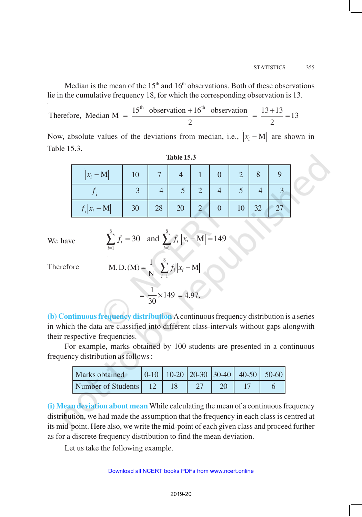Median is the mean of the  $15<sup>th</sup>$  and  $16<sup>th</sup>$  observations. Both of these observations lie in the cumulative frequency 18, for which the corresponding observation is 13.

Therefore, Median M = 
$$
\frac{15^{th} \text{ observation} + 16^{th} \text{ observation}}{2} = \frac{13 + 13}{2} = 13
$$

Now, absolute values of the deviations from median, i.e.,  $|x_i - M|$  are shown in Table 15.3.

| $ x_i - M $     | 10 |    |    |  |    |     |  |
|-----------------|----|----|----|--|----|-----|--|
|                 |    |    |    |  |    |     |  |
| $f_i  x_i - M $ | 30 | 28 | 20 |  | 10 | ے ک |  |

| l'able " |  |
|----------|--|
|----------|--|

We have

$$
\sum_{i=1}^{8} f_i = 30 \text{ and } \sum_{i=1}^{8} f_i |x_i - M| = 149
$$

Therefore

M.D.(M) = 
$$
\frac{1}{N} \sum_{i=1}^{8} f_i |x_i - M|
$$
  
=  $\frac{1}{30} \times 149 = 4.97$ .

**(b) Continuous frequency distribution** A continuous frequency distribution is a series in which the data are classified into different class-intervals without gaps alongwith their respective frequencies.

For example, marks obtained by 100 students are presented in a continuous frequency distribution as follows :

| <b>Marks</b> obtained |  |  | $0-10$   10-20   20-30   30-40   40-50   50-60 |  |
|-----------------------|--|--|------------------------------------------------|--|
| Number of Students 12 |  |  |                                                |  |

**(i) Mean deviation about mean** While calculating the mean of a continuous frequency distribution, we had made the assumption that the frequency in each class is centred at its mid-point. Here also, we write the mid-point of each given class and proceed further as for a discrete frequency distribution to find the mean deviation.

Let us take the following example.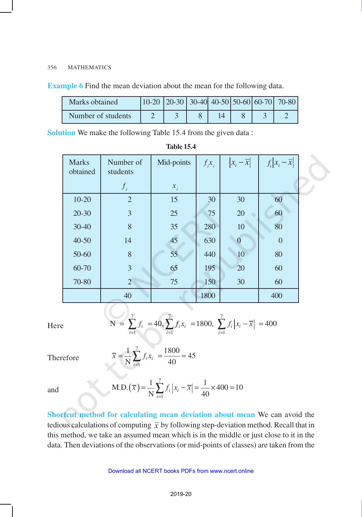|  | <b>Example 6</b> Find the mean deviation about the mean for the following data. |  |
|--|---------------------------------------------------------------------------------|--|
|--|---------------------------------------------------------------------------------|--|

| Marks obtained     |  |  |  | $10-20$   20-30   30-40   40-50   50-60   60-70   70-80 |
|--------------------|--|--|--|---------------------------------------------------------|
| Number of students |  |  |  |                                                         |

**Solution** We make the following Table 15.4 from the given data :

| <b>Marks</b><br>obtained | Number of<br>students | Mid-points | $f_i x_i$ | $ x_i - \overline{x} $ | $f_i x_i-\overline{x} $ |
|--------------------------|-----------------------|------------|-----------|------------------------|-------------------------|
|                          | $f_i$                 | $x_i$      |           |                        |                         |
| $10 - 20$                | $\overline{2}$        | 15         | 30        | 30                     | 60                      |
| $20 - 30$                | 3                     | 25         | 75        | 20                     | 60                      |
| $30 - 40$                | 8                     | 35         | 280       | 10                     | 80                      |
| $40 - 50$                | 14                    | 45         | 630       |                        | $\boldsymbol{0}$        |
| 50-60                    | 8                     | 55         | 440       | 10                     | 80                      |
| 60-70                    | 3                     | 65         | 195       | 20                     | 60                      |
| 70-80                    | $\overline{2}$        | 75         | 150       | 30                     | 60                      |
|                          | 40                    |            | 1800      |                        | 400                     |

## **Table 15.4**

Here

$$
N = \sum_{i=1}^{7} f_i = 40, \sum_{i=1}^{7} f_i x_i = 1800, \sum_{i=1}^{7} f_i |x_i - \overline{x}| = 400
$$

Therefore

$$
\overline{x} = \frac{1}{N} \sum_{i=1}^{7} f_i x_i = \frac{1800}{40} = 45
$$

1

 $\overline{x}$ ) =  $\frac{1}{\sqrt{x}}$   $\int f_i |x_i - \overline{x}$ 

and M.D. $(\overline{x}) = \frac{1}{N} \sum_{i=1}^{N}$ 

**Shortcut method for calculating mean deviation about mean** We can avoid the tedious calculations of computing  $\bar{x}$  by following step-deviation method. Recall that in this method, we take an assumed mean which is in the middle or just close to it in the data. Then deviations of the observations (or mid-points of classes) are taken from the

M.D.  $(\overline{x}) = \frac{1}{N} \sum_{i=1}^{N} f_i |x_i - \overline{x}| = \frac{1}{N} \times 400 = 10$  $\sum_{i=1}^{n} J_i |X_i - X| = \frac{1}{40}$ 

 $=\frac{1}{N}\sum_{i=1} f_i |x_i - \overline{x}| = \frac{1}{40} \times 400 =$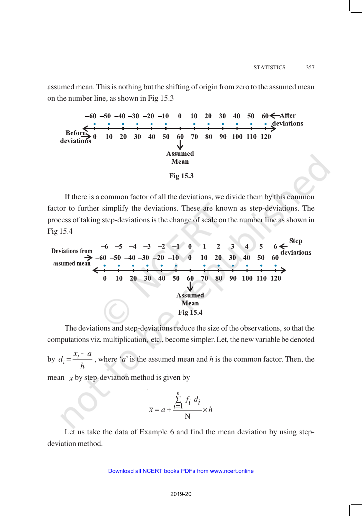assumed mean. This is nothing but the shifting of origin from zero to the assumed mean on the number line, as shown in Fig 15.3



If there is a common factor of all the deviations, we divide them by this common factor to further simplify the deviations. These are known as step-deviations. The process of taking step-deviations is the change of scale on the number line as shown in Fig 15.4



The deviations and step-deviations reduce the size of the observations, so that the computations viz. multiplication, etc., become simpler. Let, the new variable be denoted

by *h*  $d_i = \frac{x_i - a_i}{l_i}$  $=\frac{x_i - a}{x_i}$ , where '*a*' is the assumed mean and *h* is the common factor. Then, the mean  $\bar{x}$  by step-deviation method is given by

$$
\bar{x} = a + \frac{\sum_{i=1}^{n} f_i \ d_i}{N} \times h
$$

Let us take the data of Example 6 and find the mean deviation by using stepdeviation method.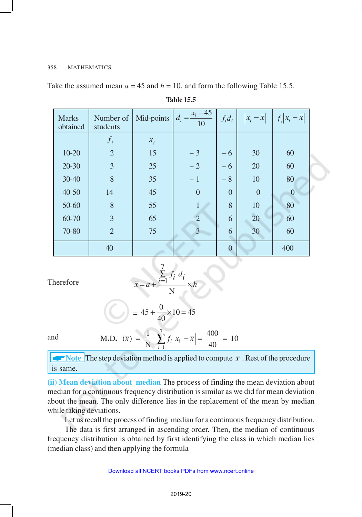Take the assumed mean  $a = 45$  and  $h = 10$ , and form the following Table 15.5.

| <b>Marks</b><br>obtained | Number of<br>students | Mid-points | $d_i = \frac{x_i - 45}{ }$<br>10 | $f_i d_i$                     | $\left x_i-\overline{x}\right $ | $f_i\left x_i-\overline{x}\right $ |
|--------------------------|-----------------------|------------|----------------------------------|-------------------------------|---------------------------------|------------------------------------|
|                          | $f_i$                 | $x_i$      |                                  |                               |                                 |                                    |
| $10 - 20$                | $\overline{2}$        | 15         | $-3$                             | - 6                           | 30                              | 60                                 |
| $20 - 30$                | $\overline{3}$        | 25         | $-2$                             | 6<br>$\overline{\phantom{0}}$ | 20                              | 60                                 |
| 30-40                    | 8                     | 35         | $-1$                             | $-8$                          | 10                              | 80                                 |
| $40 - 50$                | 14                    | 45         | $\overline{0}$                   | $\Omega$                      | $\overline{0}$                  | $\theta$                           |
| 50-60                    | 8                     | 55         | 1                                | 8                             | 10                              | 80                                 |
| 60-70                    | $\overline{3}$        | 65         | $\overline{2}$                   | 6                             | 20                              | 60                                 |
| 70-80                    | $\overline{2}$        | 75         | $\overline{3}$                   | 6                             | 30                              | 60                                 |
|                          | 40                    |            |                                  | $\Omega$                      |                                 | 400                                |

**Table 15.5**

$$
\sum_{\overline{x}} \sum_{i=1}^{7} f_i d_i
$$

Therefore

$$
\bar{x} = a + \frac{i-1}{N} \times h
$$

$$
= 45 + \frac{0}{40} \times 10 = 45
$$

and

M.D. 
$$
(\overline{x}) = \frac{1}{N} \sum_{i=1}^{7} f_i |x_i - \overline{x}| = \frac{400}{40} = 10
$$

 $\blacktriangleright$  Note The step deviation method is applied to compute  $\bar{x}$ . Rest of the procedure is same.

**(ii) Mean deviation about median** The process of finding the mean deviation about median for a continuous frequency distribution is similar as we did for mean deviation about the mean. The only difference lies in the replacement of the mean by median while taking deviations.

Let us recall the process of finding median for a continuous frequency distribution.

The data is first arranged in ascending order. Then, the median of continuous frequency distribution is obtained by first identifying the class in which median lies (median class) and then applying the formula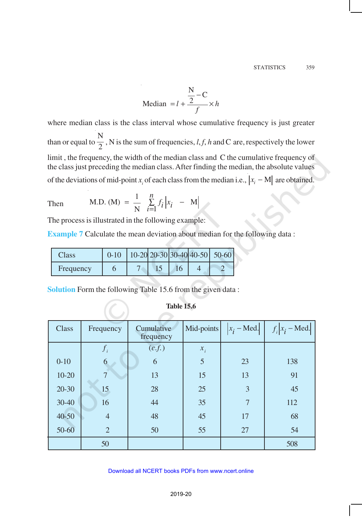Median 
$$
= l + \frac{\frac{N}{2} - C}{f} \times h
$$

where median class is the class interval whose cumulative frequency is just greater than or equal to N  $\frac{1}{2}$ , N is the sum of frequencies, *l, f, h* and C are, respectively the lower limit , the frequency, the width of the median class and C the cumulative frequency of the class just preceding the median class. After finding the median, the absolute values of the deviations of mid-point *x*<sub>*i*</sub> of each class from the median i.e.,  $|x_i - M|$  are obtained.

Then M.D. (M) = 
$$
\frac{1}{N} \sum_{i=1}^{n} f_i |x_i - M|
$$

The process is illustrated in the following example:

**Example 7** Calculate the mean deviation about median for the following data:

| Class     |  |     | 10-20 20-30 30-40 40-50 50-60 |
|-----------|--|-----|-------------------------------|
| Frequency |  | I b |                               |

**Solution** Form the following Table 15.6 from the given data :

| Class     | Frequency      | Cumulative<br>frequency | Mid-points | $ x_i - Med. $ | $f_i   x_i$ – Med. |
|-----------|----------------|-------------------------|------------|----------------|--------------------|
|           | $f_i$          | (c.f.)                  | $x_i$      |                |                    |
| $0 - 10$  | 6              | 6                       | 5          | 23             | 138                |
| $10 - 20$ | $\overline{7}$ | 13                      | 15         | 13             | 91                 |
| $20 - 30$ | 15             | 28                      | 25         | 3              | 45                 |
| $30 - 40$ | 16             | 44                      | 35         | $\overline{7}$ | 112                |
| $40 - 50$ | $\overline{4}$ | 48                      | 45         | 17             | 68                 |
| 50-60     | $\overline{2}$ | 50                      | 55         | 27             | 54                 |
|           | 50             |                         |            |                | 508                |

## **Table 15.6**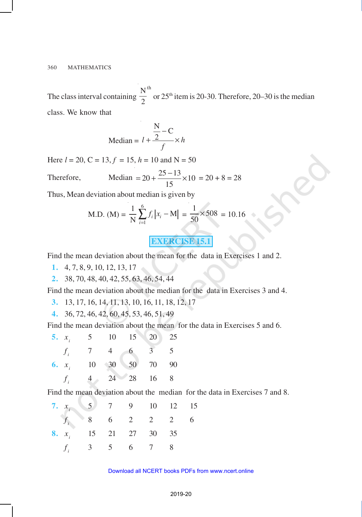The class interval containing  $\frac{N}{2}^{th}$  $\frac{1}{2}$  or 25<sup>th</sup> item is 20-30. Therefore, 20–30 is the median class. We know that

Median = 
$$
l + \frac{\frac{N}{2} - C}{f} \times h
$$

Here  $l = 20$ ,  $C = 13$ ,  $f = 15$ ,  $h = 10$  and  $N = 50$ 

Therefore, Median = 
$$
20 + \frac{25 - 13}{15} \times 10 = 20 + 8 = 28
$$

Thus, Mean deviation about median is given by

M.D. (M) = 
$$
\frac{1}{N} \sum_{i=1}^{6} f_i |x_i - M| = \frac{1}{50} \times 508 = 10.16
$$

# **EXERCISE 15.1**

Find the mean deviation about the mean for the data in Exercises 1 and 2.

- **1.** 4, 7, 8, 9, 10, 12, 13, 17
- **2.** 38, 70, 48, 40, 42, 55, 63, 46, 54, 44

Find the mean deviation about the median for the data in Exercises 3 and 4.

- **3.** 13, 17, 16, 14, 11, 13, 10, 16, 11, 18, 12, 17
- **4.** 36, 72, 46, 42, 60, 45, 53, 46, 51, 49

Find the mean deviation about the mean for the data in Exercises 5 and 6.

| 5. $x_i$ 5 10 15 20 25  |  |  |  |
|-------------------------|--|--|--|
| $f_i$ 7 4 6 3 5         |  |  |  |
| 6. $x_i$ 10 30 50 70 90 |  |  |  |
| $f_i$ 4 24 28 16 8      |  |  |  |

Find the mean deviation about the median for the data in Exercises 7 and 8.

| 7. $x_i$ 5 7 9 10 12 15        |  |  |  |
|--------------------------------|--|--|--|
| $f_i$ 8 6 2 2 2 6              |  |  |  |
| <b>8.</b> $x_i$ 15 21 27 30 35 |  |  |  |
| $f_i$ 3 5 6 7 8                |  |  |  |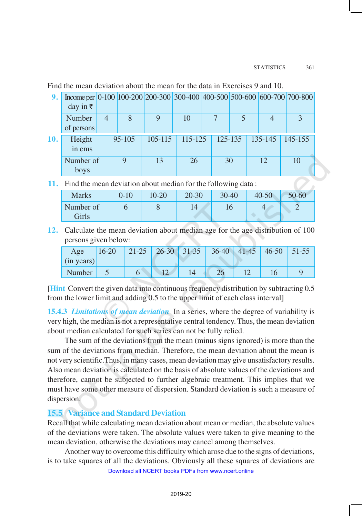Find the mean deviation about the mean for the data in Exercises 9 and 10.

| 9.  | Income per $\vert 0.100 \vert 100.200 \vert 200.300 \vert 300.400 \vert 400.500 \vert 500.600 \vert 600.700 \vert 700.800 \vert$<br>day in $\bar{z}$ |   |            |         |         |             |             |             |
|-----|------------------------------------------------------------------------------------------------------------------------------------------------------|---|------------|---------|---------|-------------|-------------|-------------|
|     | Number<br>of persons                                                                                                                                 | 4 |            | 9       | 10      |             |             | 3           |
| 10. | Height<br>in cms                                                                                                                                     |   | $95 - 105$ | 105-115 | 115-125 | $125 - 135$ | $135 - 145$ | $145 - 155$ |
|     | Number of<br>boys                                                                                                                                    |   |            | 13      | 26      | 30          | 12          | 10          |

**11.** Find the mean deviation about median for the following data :

| <b>Marks</b>       | $0 - 10$ | 10-20 | $20 - 30$ | $30 - 40$ | $40 - 50$ | 50-60 |
|--------------------|----------|-------|-----------|-----------|-----------|-------|
| Number of<br>Girls |          |       |           | 10        |           |       |

**12.** Calculate the mean deviation about median age for the age distribution of 100 persons given below:

| Age<br>(in years) | $16 - 20$ |  | $21-25$ 26-30 31-35 | $36-40$ 41-45 | $ 46-50 51-55 $ |  |
|-------------------|-----------|--|---------------------|---------------|-----------------|--|
| Number            |           |  |                     |               |                 |  |

[**Hint** Convert the given data into continuous frequency distribution by subtracting 0.5 from the lower limit and adding 0.5 to the upper limit of each class interval]

**15.4.3** *Limitations of mean deviation* In a series, where the degree of variability is very high, the median is not a representative central tendency. Thus, the mean deviation about median calculated for such series can not be fully relied.

The sum of the deviations from the mean (minus signs ignored) is more than the sum of the deviations from median. Therefore, the mean deviation about the mean is not very scientific.Thus, in many cases, mean deviation may give unsatisfactory results. Also mean deviation is calculated on the basis of absolute values of the deviations and therefore, cannot be subjected to further algebraic treatment. This implies that we must have some other measure of dispersion. Standard deviation is such a measure of dispersion.

# **15.5 Variance and Standard Deviation**

Recall that while calculating mean deviation about mean or median, the absolute values of the deviations were taken. The absolute values were taken to give meaning to the mean deviation, otherwise the deviations may cancel among themselves.

Another way to overcome this difficulty which arose due to the signs of deviations, is to take squares of all the deviations. Obviously all these squares of deviations are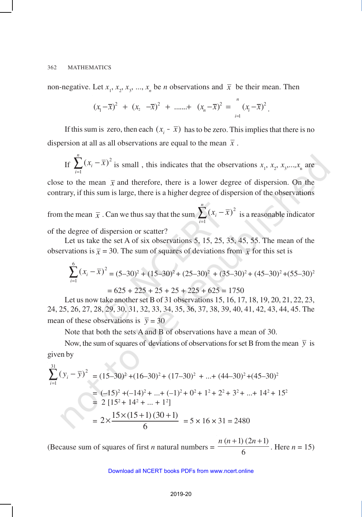non-negative. Let  $x_1, x_2, x_3, ..., x_n$  be *n* observations and  $\overline{x}$  be their mean. Then

$$
(x_1 - \overline{x})^2 + (x_2 - \overline{x})^2 + \dots + (x_n - \overline{x})^2 = \sum_{i=1}^n (x_i - \overline{x})^2
$$
.

If this sum is zero, then each  $(x_i - \overline{x})$  has to be zero. This implies that there is no dispersion at all as all observations are equal to the mean  $\bar{x}$ .

If 
$$
\sum_{i=1}^{n} (x_i - \overline{x})^2
$$
 is small, this indicates that the observations  $x_1, x_2, x_3, \ldots, x_n$  are

close to the mean  $\bar{x}$  and therefore, there is a lower degree of dispersion. On the contrary, if this sum is large, there is a higher degree of dispersion of the observations

from the mean  $\bar{x}$  . Can we thus say that the sum  $\sum_{i=1}^{n} (x_i$ *i*  $x_i - \overline{x}$ 1  $(x_i - \overline{x})^2$  is a reasonable indicator

of the degree of dispersion or scatter?

Let us take the set A of six observations 5, 15, 25, 35, 45, 55. The mean of the observations is  $\bar{x} = 30$ . The sum of squares of deviations from  $\bar{x}$  for this set is

$$
\sum_{i=1}^{6} (x_i - \overline{x})^2 = (5 - 30)^2 + (15 - 30)^2 + (25 - 30)^2 + (35 - 30)^2 + (45 - 30)^2 + (55 - 30)^2
$$

$$
= 625 + 225 + 25 + 25 + 225 + 625 = 1750
$$

Let us now take another set B of 31 observations 15, 16, 17, 18, 19, 20, 21, 22, 23, 24, 25, 26, 27, 28, 29, 30, 31, 32, 33, 34, 35, 36, 37, 38, 39, 40, 41, 42, 43, 44, 45. The mean of these observations is  $\bar{y} = 30$ 

Note that both the sets A and B of observations have a mean of 30.

Now, the sum of squares of deviations of observations for set B from the mean  $\bar{y}$  is given by

$$
\sum_{i=1}^{31} (y_i - \overline{y})^2 = (15-30)^2 + (16-30)^2 + (17-30)^2 + \dots + (44-30)^2 + (45-30)^2
$$
  
= (-15)<sup>2</sup> + (-14)<sup>2</sup> + ... + (-1)<sup>2</sup> + 0<sup>2</sup> + 1<sup>2</sup> + 2<sup>2</sup> + 3<sup>2</sup> + ... + 14<sup>2</sup> + 15<sup>2</sup>  
= 2 [15<sup>2</sup> + 14<sup>2</sup> + ... + 1<sup>2</sup>]  
= 2 \times \frac{15 \times (15+1) (30+1)}{6} = 5 \times 16 \times 31 = 2480

(Because sum of squares of first  $n$  natural numbers  $=$  $(n+1) (2n+1)$ 6  $n(n+1)(2n+$ . Here  $n = 15$ )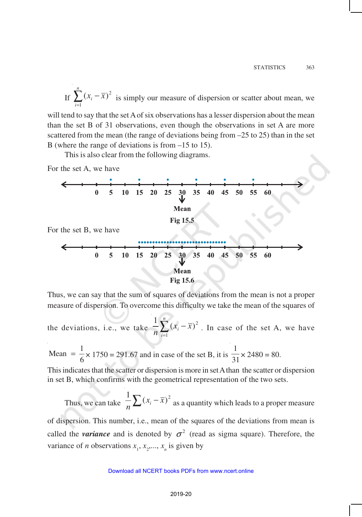If  $\sum_{i=1}^{n} (x_i$ *i*  $x_i - \overline{x}$ 1  $(x_i - \overline{x})^2$  is simply our measure of dispersion or scatter about mean, we

will tend to say that the set A of six observations has a lesser dispersion about the mean than the set B of 31 observations, even though the observations in set A are more scattered from the mean (the range of deviations being from –25 to 25) than in the set B (where the range of deviations is from –15 to 15).

This is also clear from the following diagrams.

For the set A, we have



For the set B, we have

**Fig 15.6**

Thus, we can say that the sum of squares of deviations from the mean is not a proper measure of dispersion. To overcome this difficulty we take the mean of the squares of

the deviations, i.e., we take  $\frac{1}{n} \sum_{i=1}^{n} (x_i$ *i*  $x_i - \overline{x}$  $n \nightharpoonup$ <sub>i=1</sub>  $\frac{1}{2}\sum_{i=1}^{n}(x_i-\bar{x})^2$ . In case of the set A, we have

Mean  $=$   $\frac{1}{6}$  $=$   $\frac{1}{6}$  × 1750 = 291.67 and in case of the set B, it is  $\frac{1}{3}$  $\frac{1}{31}$  × 2480 = 80.

This indicates that the scatter or dispersion is more in set A than the scatter or dispersion in set B, which confirms with the geometrical representation of the two sets.

Thus, we can take  $\frac{1}{n} \sum_{i} (x_i - \overline{x})^2$  $\sum_{i=1}^{n}$   $\sum_{i=1}^{n}$  ( $x_i - x$ ) as a quantity which leads to a proper measure

of dispersion. This number, i.e., mean of the squares of the deviations from mean is called the *variance* and is denoted by  $\sigma^2$  (read as sigma square). Therefore, the variance of *n* observations  $x_1, x_2, \ldots, x_n$  is given by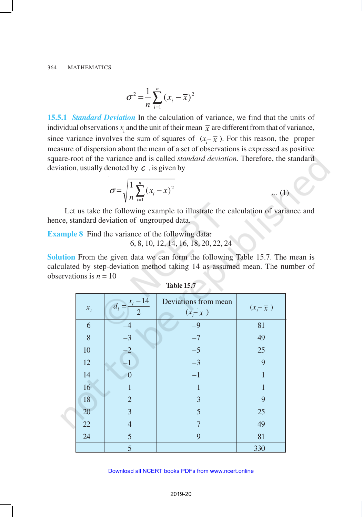$$
\sigma^2 = \frac{1}{n} \sum_{i=1}^n (x_i - \overline{x})^2
$$

**15.5.1** *Standard Deviation* In the calculation of variance, we find that the units of individual observations  $x_i$  and the unit of their mean  $\bar{x}$  are different from that of variance, since variance involves the sum of squares of  $(x_i - \overline{x})$ . For this reason, the proper measure of dispersion about the mean of a set of observations is expressed as positive square-root of the variance and is called *standard deviation*. Therefore, the standard deviation, usually denoted by  $c$ , is given by

$$
\sigma = \sqrt{\frac{1}{n} \sum_{i=1}^{n} (x_i - \overline{x})^2}
$$
 ... (1)

Let us take the following example to illustrate the calculation of variance and hence, standard deviation of ungrouped data.

**Example 8** Find the variance of the following data:

6, 8, 10, 12, 14, 16, 18, 20, 22, 24

**Solution** From the given data we can form the following Table 15.7. The mean is calculated by step-deviation method taking 14 as assumed mean. The number of observations is  $n = 10$ 

| $x_i$  | $d_i = \frac{x_i - 14}{1}$<br>$\overline{2}$ | Deviations from mean<br>$(x_i - \overline{x})$ | $(x_i - \overline{x})$ |
|--------|----------------------------------------------|------------------------------------------------|------------------------|
| 6      | $-4$                                         | $-9$                                           | 81                     |
| 8      | $-3$                                         | $-7$                                           | 49                     |
| 10     | $-2$                                         | $-5$                                           | 25                     |
| 12     |                                              | $-3$                                           | 9                      |
| 14     | $\Omega$                                     | $-1$                                           |                        |
| 16     |                                              | $\mathbf{1}$                                   |                        |
| $18\,$ | $\overline{2}$                               | 3                                              | 9                      |
| 20     | 3                                            | 5                                              | 25                     |
| $22\,$ | $\overline{4}$                               |                                                | 49                     |
| 24     | $\overline{5}$                               | 9                                              | 81                     |
|        | 5                                            |                                                | 330                    |

| Table 15. |  |
|-----------|--|
|           |  |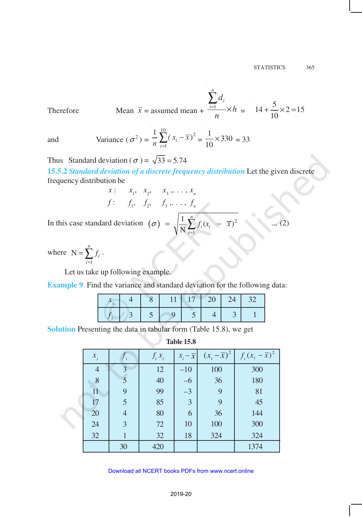Mean 
$$
\bar{x}
$$
 = assumed mean +  $\frac{\sum_{i=1}^{n} d_i}{n} \times h = 14 + \frac{5}{10} \times 2 = 15$ 

 $Therefore$ 

and Variance 
$$
(\sigma^2) = \frac{1}{n} \sum_{i=1}^{10} (x_i - \overline{x})^2 = \frac{1}{10} \times 330 = 33
$$

Thus Standard deviation ( $\sigma$ ) =  $\sqrt{33}$  = 5.74

**15.5.2** *Standard deviation of a discrete frequency distribution* Let the given discrete frequency distribution be

$$
x: \quad x_1, \quad x_2, \quad x_3, \quad \ldots, x_n
$$
  
 $f: \quad f_1, \quad f_2, \quad f_3, \quad \ldots, f_n$ 

In this case standard deviation  $(\sigma) = \sqrt{\frac{1}{N} \sum f_i (x_i - \bar{x})^2}$ 1 1  $\left| -\overline{x}\right)^2$ N *n*  $i^{i}$ <sup> $\lambda$ </sup>*i i*  $\sigma$  =  $\frac{1}{\sqrt{2}}$   $\int f_i(x_i - \bar{x})$ =  $\sqrt{\frac{1}{N} \sum_{i=1}^{N} f_i (x_i - \overline{x})^2}$  ... (2)

where 1 N *n i i f*  $=\sum_{i=1} f_i$ .

Let us take up following example.

**Example 9** Find the variance and standard deviation for the following data:

|  | 1717 | 20 7 |  |
|--|------|------|--|
|  |      |      |  |

**Solution** Presenting the data in tabular form (Table 15.8), we get

**Table 15.8**

| $x_i$          | $J_i$ | $f_i x_i$ | $x_i - \overline{x}$ | $(x_i - \overline{x})^2$ | $f_i(x_i-\overline{x})^2$ |
|----------------|-------|-----------|----------------------|--------------------------|---------------------------|
| $\overline{4}$ | 3     | 12        | $-10$                | 100                      | 300                       |
| 8              |       | 40        | $-6$                 | 36                       | 180                       |
| 11             | 9     | 99        | $-3$                 | 9                        | 81                        |
| 17             | 5     | 85        | $\overline{3}$       | 9                        | 45                        |
| 20             | 4     | 80        | 6                    | 36                       | 144                       |
| 24             | 3     | 72        | 10                   | 100                      | 300                       |
| 32             |       | 32        | 18                   | 324                      | 324                       |
|                | 30    | 420       |                      |                          | 1374                      |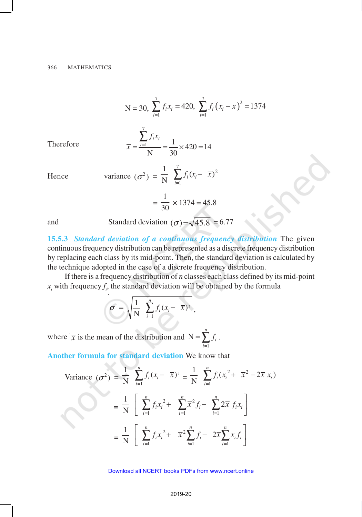$$
N = 30, \sum_{i=1}^{7} f_i x_i = 420, \sum_{i=1}^{7} f_i (x_i - \overline{x})^2 = 1374
$$

Therefore

$$
\overline{x} = \frac{\sum_{i=1}^{7} f_i x_i}{N} = \frac{1}{30} \times 420 = 14
$$

Hence

variance 
$$
(\sigma^2)
$$
 =  $\frac{1}{N} \sum_{i=1}^{7} f_i (x_i - \overline{x})^2$ 

$$
= \frac{1}{30} \times 1374 = 45.8
$$

and Standard deviation 
$$
(\sigma) = \sqrt{45.8} = 6.77
$$

**15.5.3** *Standard deviation of a continuous frequency distribution* The given continuous frequency distribution can be represented as a discrete frequency distribution by replacing each class by its mid-point. Then, the standard deviation is calculated by the technique adopted in the case of a discrete frequency distribution.

If there is a frequency distribution of *n* classes each class defined by its mid-point  $x_i$  with frequency  $f_i$ , the standard deviation will be obtained by the formula

$$
\sigma = \sqrt{\frac{1}{N} \sum_{i=1}^{n} f_i (x_i - \overline{x})^2},
$$

where  $\bar{x}$  is the mean of the distribution and N 1 *n*  $=\sum f_i$ . *i* =

**Another formula for standard deviation** We know that

Variance 
$$
(\sigma^2)
$$
 =  $\frac{1}{N} \sum_{i=1}^n f_i (x_i - \overline{x})^2 = \frac{1}{N} \sum_{i=1}^n f_i (x_i^2 + \overline{x}^2 - 2\overline{x} x_i)$   
\n=  $\frac{1}{N} \left[ \sum_{i=1}^n f_i x_i^2 + \sum_{i=1}^n \overline{x}^2 f_i - \sum_{i=1}^n 2\overline{x} f_i x_i \right]$   
\n=  $\frac{1}{N} \left[ \sum_{i=1}^n f_i x_i^2 + \overline{x}^2 \sum_{i=1}^n f_i - 2\overline{x} \sum_{i=1}^n x_i f_i \right]$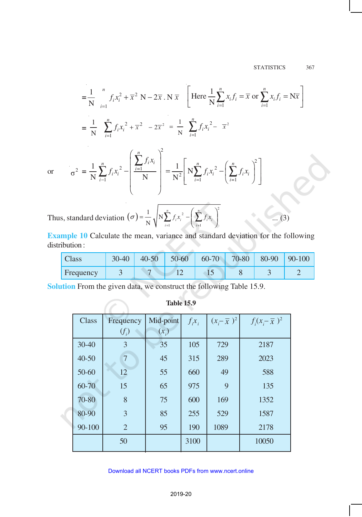$$
= \frac{1}{N} \int_{i=1}^{n} f_{i}x_{i}^{2} + \overline{x}^{2} N - 2\overline{x} N \overline{x} \left[ \text{Here } \frac{1}{N} \sum_{i=1}^{n} x_{i} f_{i} = \overline{x} \text{ or } \sum_{i=1}^{n} x_{i} f_{i} = N\overline{x} \right]
$$

$$
= \frac{1}{N} \sum_{i=1}^{n} f_{i}x_{i}^{2} + \overline{x}^{2} - 2\overline{x}^{2} = \frac{1}{N} \sum_{i=1}^{n} f_{i}x_{i}^{2} - \overline{x}^{2}
$$

or 
$$
\sigma^2 = \frac{1}{N} \sum_{i=1}^n f_i x_i^2 - \left(\frac{\sum_{i=1}^n f_i x_i}{N}\right)^2 = \frac{1}{N^2} \left[N \sum_{i=1}^n f_i x_i^2 - \left(\sum_{i=1}^n f_i x_i\right)^2\right]
$$

Thus, standard deviation  $(\sigma) = \frac{1}{N} \sqrt{N \sum_{i=1}^{n} f_i x_i^2 - \left(\sum_{i=1}^{n} f_i x_i\right)^2}$  $1$   $i=1$  $\frac{1}{\sqrt{N}}$ N *n n*  $\sum_{i=1}^{\infty} J_i^{i} \cdot v_i$   $\sum_{i=1}^{\infty} J_i^{i} \cdot v_i$  $\sigma$ ) =  $-\sqrt{N}$ ,  $f_i x_i^2 - \sqrt{f_i x_i^2}$ =  $=\frac{1}{N}\sqrt{N\sum_{i=1}^{n}f_{i}x_{i}^{2}-\left(\sum_{i=1}^{n}f_{i}x_{i}\right)^{2}}$  ... (3)

**Example 10** Calculate the mean, variance and standard deviation for the following distribution :

| Class     | $30 - 40$ | $40 - 50$ | $50 - 60$ | $60 - 70$ | 70-80 | 80-90 | $90-100$ |
|-----------|-----------|-----------|-----------|-----------|-------|-------|----------|
| Frequency |           |           |           | --        |       |       |          |

**Solution** From the given data, we construct the following Table 15.9.

| Class     | Frequency      | Mid-point | $f_i x_i$ | $(x-\overline{x})^2$ | $f_i(x-\overline{x})^2$ |
|-----------|----------------|-----------|-----------|----------------------|-------------------------|
|           | $(f_i)$        | $(x_i)$   |           |                      |                         |
| $30 - 40$ | 3              | 35        | 105       | 729                  | 2187                    |
| $40 - 50$ | $\overline{7}$ | 45        | 315       | 289                  | 2023                    |
| 50-60     | 12             | 55        | 660       | 49                   | 588                     |
| 60-70     | 15             | 65        | 975       | 9                    | 135                     |
| 70-80     | 8              | 75        | 600       | 169                  | 1352                    |
| 80-90     | 3              | 85        | 255       | 529                  | 1587                    |
| 90-100    | $\overline{2}$ | 95        | 190       | 1089                 | 2178                    |
|           | 50             |           | 3100      |                      | 10050                   |
|           |                |           |           |                      |                         |

#### 2019-20 Download all NCERT books PDFs from [www.ncert.online](http://www.ncert.online)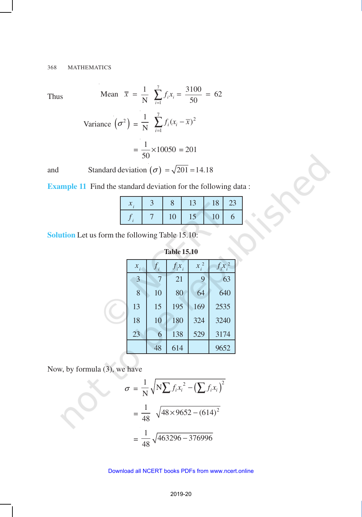Thus

Mean 
$$
\bar{x} = \frac{1}{N} \sum_{i=1}^{7} f_i x_i = \frac{3100}{50} = 62
$$
  
Variance  $(\sigma^2) = \frac{1}{N} \sum_{i=1}^{7} f_i (x_i - \bar{x})^2$ 

$$
V = N \sum_{i=1}^{n} \frac{1}{2} V^{(i)} = \frac{1}{50} \times 10050 = 201
$$

and Standard deviation  $(\sigma) = \sqrt{201} = 14.18$ 

**Example 11** Find the standard deviation for the following data :

|  |    | L  | 18 | 23 |
|--|----|----|----|----|
|  | 10 | IJ | 10 |    |

**Solution** Let us form the following Table 15.10:

| $x_i$ |    | $f_i x_i$ | $x_i^2$ | $f_{i}x_{i}^{2}$ |
|-------|----|-----------|---------|------------------|
| 3     | 7  | 21        | 9       | 63               |
| 8     | 10 | 80        | 64      | 640              |
| 13    | 15 | 195       | 169     | 2535             |
| 18    | 10 | 180       | 324     | 3240             |
| 23    | 6  | 138       | 529     | 3174             |
|       | 48 | 614       |         | 9652             |

**Table 15.10**

Now, by formula (3), we have

$$
\sigma = \frac{1}{N} \sqrt{N \sum f_i x_i^2 - (\sum f_i x_i)^2}
$$

$$
= \frac{1}{48} \sqrt{48 \times 9652 - (614)^2}
$$

$$
= \frac{1}{48} \sqrt{463296 - 376996}
$$

#### 2019-20 Download all NCERT books PDFs from [www.ncert.online](http://www.ncert.online)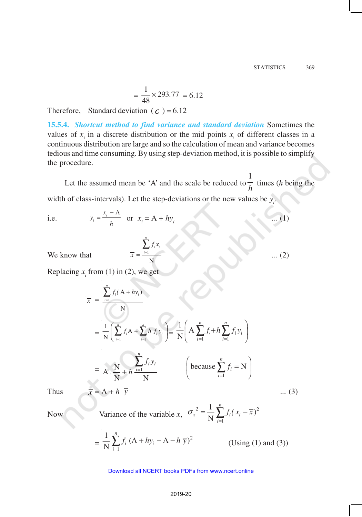... (1)

... (2)

$$
= \frac{1}{48} \times 293.77 = 6.12
$$

Therefore, Standard deviation ( $\epsilon$ ) = 6.12

**15.5.4.** *Shortcut method to find variance and standard deviation* Sometimes the values of  $x_i$  in a discrete distribution or the mid points  $x_i$  of different classes in a continuous distribution are large and so the calculation of mean and variance becomes tedious and time consuming. By using step-deviation method, it is possible to simplify the procedure.

Let the assumed mean be 'A' and the scale be reduced to  $\frac{1}{h}$ 1 times (*h* being the

width of class-intervals). Let the step-deviations or the new values be  $y_i$ .

N

*n*  $\sum_{i=1}^{\infty}$ <sup>*j*</sup><sub>i</sub> $\sim$ <sub>*i*</sub> *f x*

 $\overline{x} = \frac{i}{x}$ ∑

i.e. 
$$
y_i = \frac{x_i - A}{h}
$$
 or  $x_i = A + hy_i$ 

We know that

Replacing  $x_i$  from (1) in (2), we get

$$
\overline{x} = \frac{\sum_{i=1}^{n} f_i (A + hy_i)}{N}
$$
\n
$$
= \frac{1}{N} \left( \sum_{i=1}^{n} f_i A + \sum_{i=1}^{n} h f_i y_i \right) = \frac{1}{N} \left( A \sum_{i=1}^{n} f_i + h \sum_{i=1}^{n} f_i y_i \right)
$$
\n
$$
= A \cdot \frac{N}{N} + h \frac{\sum_{i=1}^{n} f_i y_i}{N} \qquad \left( \text{because } \sum_{i=1}^{n} f_i = N \right)
$$
\nThus\n
$$
\overline{x} = A + h \ \overline{y} \qquad \qquad \dots (3)
$$

Now Variance of the variable x, 
$$
\sigma_x^2 = \frac{1}{N} \sum_{i=1}^n f_i (x_i - \overline{x})^2
$$

$$
= \frac{1}{N} \sum_{i=1}^{n} f_i (A + hy_i - A - h \overline{y})^2
$$
 (Using (1) and (3))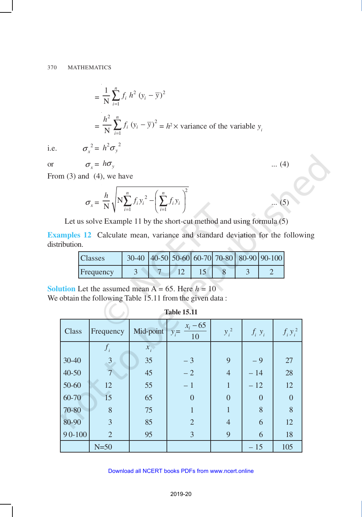$$
= \frac{1}{N} \sum_{i=1}^{n} f_i h^2 (y_i - \overline{y})^2
$$
  
=  $\frac{h^2}{N} \sum_{i=1}^{n} f_i (y_i - \overline{y})^2 = h^2 \times \text{ variance of the variable } y_i$ 

i.e.  $\sigma_x^2 = h^2 \sigma_y^2$ 

or 
$$
\sigma_x = h\sigma_y
$$
 ... (4)

From  $(3)$  and  $(4)$ , we have

$$
\sigma_x = \frac{h}{N} \sqrt{N \sum_{i=1}^n f_i y_i^2 - \left(\sum_{i=1}^n f_i y_i\right)^2}
$$
 ... (5)

Let us solve Example 11 by the short-cut method and using formula (5)

**Examples 12** Calculate mean, variance and standard deviation for the following distribution.

| <b>Classes</b> |  |  |  | 30-40 40-50 50-60 60-70 70-80 80-90 90-100 |
|----------------|--|--|--|--------------------------------------------|
| Frequency      |  |  |  |                                            |

**Solution** Let the assumed mean  $A = 65$ . Here  $h = 10$ 

We obtain the following Table 15.11 from the given data:

**Table 15.11**

| Class      | Frequency      | Mid-point $y_i =$ | $x_i - 65$<br>10 | $y_i^2$        | $f_i y_i$ | $f_i y_i^2$ |
|------------|----------------|-------------------|------------------|----------------|-----------|-------------|
|            | $f_i$          | $x_i$             |                  |                |           |             |
| $30 - 40$  | $\mathfrak{Z}$ | 35                | $-3$             | 9              | $-9$      | 27          |
| $40 - 50$  |                | 45                | $-2$             | $\overline{4}$ | $-14$     | 28          |
| 50-60      | 12             | 55                | $-1$             | $\mathbf{1}$   | $-12$     | 12          |
| 60-70      | 15             | 65                | $\overline{0}$   | $\overline{0}$ | $\theta$  | $\theta$    |
| 70-80      | 8              | 75                |                  |                | 8         | 8           |
| 80-90      | 3              | 85                | $\overline{2}$   | 4              | 6         | 12          |
| $90 - 100$ | $\overline{2}$ | 95                | $\overline{3}$   | 9              | 6         | 18          |
|            | $N=50$         |                   |                  |                | $-15$     | 105         |

#### 2019-20 Download all NCERT books PDFs from [www.ncert.online](http://www.ncert.online)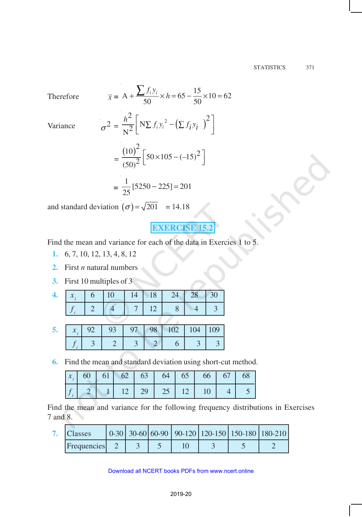**Therefore** 

Therefore  
\n
$$
\overline{x} = A + \frac{\sum f_i y_i}{50} \times h = 65 - \frac{15}{50} \times 10 = 62
$$
\nVariance  
\n
$$
\sigma^2 = \frac{h^2}{N^2} \left[ N \sum f_i y_i^2 - (\sum f_i y_i)^2 \right]
$$
\n
$$
= \frac{(10)^2}{(50)^2} \left[ 50 \times 105 - (-15)^2 \right]
$$
\n
$$
= \frac{1}{25} [5250 - 225] = 201
$$

and standard deviation 
$$
(\sigma) = \sqrt{201} = 14.18
$$

25

**=**

# **EXERCISE 15**

Find the mean and variance for each of the data in Exercies 1 to 5.

- **1.** 6, 7, 10, 12, 13, 4, 8, 12
- **2.** First *n* natural numbers
- **3.** First 10 multiples of 3

|  |  |             | 6   10   14   18   24   28   30 |  |
|--|--|-------------|---------------------------------|--|
|  |  | $7 \mid 12$ |                                 |  |

|  |  |  | $x$ , 92 93 97 98 102 104 |  |
|--|--|--|---------------------------|--|
|  |  |  |                           |  |

 **6.** Find the mean and standard deviation using short-cut method.

|  |  |  | $x_i$ 60 61 62 63 64 65 66 67 68 |  |
|--|--|--|----------------------------------|--|
|  |  |  |                                  |  |

Find the mean and variance for the following frequency distributions in Exercises 7 and 8.

| <b>Classes</b>     |  |  | 0-30 30-60 60-90 90-120 120-150 150-180 180-210 |  |
|--------------------|--|--|-------------------------------------------------|--|
| <b>Frequencies</b> |  |  |                                                 |  |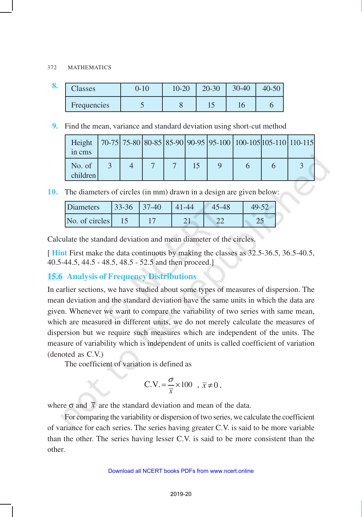#### 372 MATHEMATICS

| o. | $\mathcal{L}$ lasses | $0 - 10$ | $10 - 20$ | $20 - 30$ | 30-40 | $40 - 50$ |
|----|----------------------|----------|-----------|-----------|-------|-----------|
|    | Frequencies          |          | U         | ⊥୰        |       |           |

 **9.** Find the mean, variance and standard deviation using short-cut method

| Height<br>in cms   |  |  |  | $\left[70-75\right]75-80\left[80-85\right]85-90\left[90-95\right]95-100\left[100-105\right]105-110\left[110-115\right]$ |  |
|--------------------|--|--|--|-------------------------------------------------------------------------------------------------------------------------|--|
| No. of<br>children |  |  |  |                                                                                                                         |  |

**10.** The diameters of circles (in mm) drawn in a design are given below:

| <b>Diameters</b> | $33 - 36$ | $37-40$ | 41-44 |          |
|------------------|-----------|---------|-------|----------|
| No. of circles   |           |         |       | <u>_</u> |

Calculate the standard deviation and mean diameter of the circles.

[ **Hint** First make the data continuous by making the classes as 32.5-36.5, 36.5-40.5, 40.5-44.5, 44.5 - 48.5, 48.5 - 52.5 and then proceed.]

# **15.6 Analysis of Frequency Distributions**

In earlier sections, we have studied about some types of measures of dispersion. The mean deviation and the standard deviation have the same units in which the data are given. Whenever we want to compare the variability of two series with same mean, which are measured in different units, we do not merely calculate the measures of dispersion but we require such measures which are independent of the units. The measure of variability which is independent of units is called coefficient of variation (denoted as C.V.)

The coefficient of variation is defined as

$$
C.V. = \frac{\sigma}{\overline{x}} \times 100 \ , \ \overline{x} \neq 0 \,,
$$

where  $\sigma$  and  $\bar{x}$  are the standard deviation and mean of the data.

For comparing the variability or dispersion of two series, we calculate the coefficient of variance for each series. The series having greater C.V. is said to be more variable than the other. The series having lesser C.V. is said to be more consistent than the other.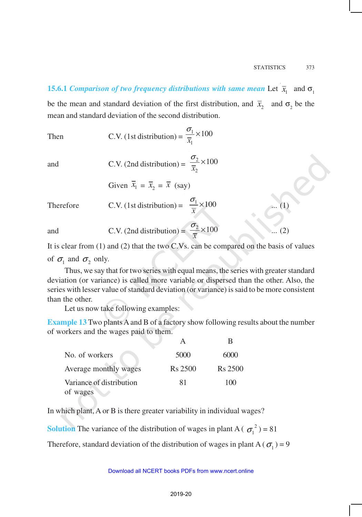# **15.6.1** *Comparison of two frequency distributions with same mean* Let  $\bar{x}_1$  and  $\sigma_1$ be the mean and standard deviation of the first distribution, and  $\bar{x}_2$  and  $\sigma_2$  be the mean and standard deviation of the second distribution.

Then C.V. (1st distribution) = 
$$
\frac{\sigma_1}{\overline{x}_1} \times 100
$$

and C.V. (2nd distribution) = 
$$
\frac{\sigma_2}{\overline{x}_2} \times 100
$$

Given 
$$
\overline{x}_1 = \overline{x}_2 = \overline{x}
$$
 (say)

Therefore C.V. (1st distribution) = 
$$
\frac{\sigma_1}{\overline{x}} \times 100
$$
 ... (1)

and C.V. (2nd distribution) =  $\frac{62}{5} \times 100$ *x*  $\frac{\sigma_2}{\sigma_1}$  × 100 ... (2)

It is clear from (1) and (2) that the two C.Vs. can be compared on the basis of values of  $\sigma_1$  and  $\sigma_2$  only.

Thus, we say that for two series with equal means, the series with greater standard deviation (or variance) is called more variable or dispersed than the other. Also, the series with lesser value of standard deviation (or variance) is said to be more consistent than the other.

Let us now take following examples:

**Example 13** Two plants A and B of a factory show following results about the number of workers and the wages paid to them.

|                          |         | в                   |
|--------------------------|---------|---------------------|
| No. of workers           | 5000    | 6000                |
| Average monthly wages    | Rs 2500 | R <sub>s</sub> 2500 |
| Variance of distribution | 81      | 100                 |
| of wages                 |         |                     |

In which plant, A or B is there greater variability in individual wages?

**Solution** The variance of the distribution of wages in plant A ( $\sigma_1^2$ ) = 81

Therefore, standard deviation of the distribution of wages in plant A ( $\sigma_1$ ) = 9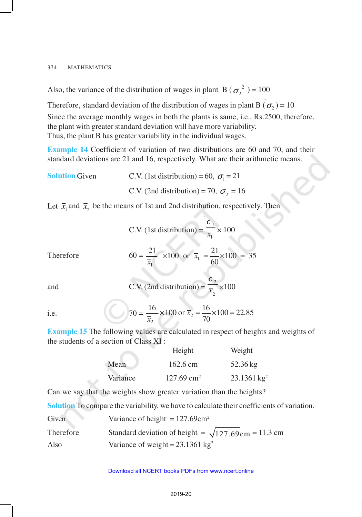Also, the variance of the distribution of wages in plant B ( $\sigma_2^2$ ) = 100

Therefore, standard deviation of the distribution of wages in plant B ( $\sigma_2$ ) = 10 Since the average monthly wages in both the plants is same, i.e., Rs.2500, therefore, the plant with greater standard deviation will have more variability. Thus, the plant B has greater variability in the individual wages.

**Example 14** Coefficient of variation of two distributions are 60 and 70, and their standard deviations are 21 and 16, respectively. What are their arithmetic means.

**Solution** Given **C.V.** (1st distribution) = 60,  $\sigma_1 = 21$ C.V. (2nd distribution) = 70,  $\sigma_2 = 16$ 

Let  $\bar{x}_1$  and  $\bar{x}_2$  be the means of 1st and 2nd distribution, respectively. Then

C.V. (1st distribution) = 
$$
\frac{c_1}{\overline{x}_1}
$$
 × 100

Therefore 
$$
60 = \frac{21}{\overline{x}_1} \times 100
$$
 or  $\overline{x}_1 = \frac{21}{60} \times 100 = 35$ 

and C.V. 
$$
(2nd distribution) =
$$

C.V. (2nd distribution) = 
$$
\frac{c_2}{\overline{x}_2}
$$
 ×100

i.e. 
$$
70 = \frac{16}{\overline{x}_2} \times 100 \text{ or } \overline{x}_2 = \frac{16}{70} \times 100 = 22.85
$$

**Example 15** The following values are calculated in respect of heights and weights of the students of a section of Class XI :

|          | Height                   | Weight                 |
|----------|--------------------------|------------------------|
| Mean     | $162.6 \text{ cm}$       | 52.36 kg               |
| Variance | $127.69$ cm <sup>2</sup> | $23.1361 \text{ kg}^2$ |

Can we say that the weights show greater variation than the heights?

**Solution** To compare the variability, we have to calculate their coefficients of variation.

| Given     | Variance of height = $127.69 \text{cm}^2$                          |
|-----------|--------------------------------------------------------------------|
| Therefore | Standard deviation of height = $\sqrt{127.69 \text{cm}}$ = 11.3 cm |
| Also      | Variance of weight = $23.1361 \text{ kg}^2$                        |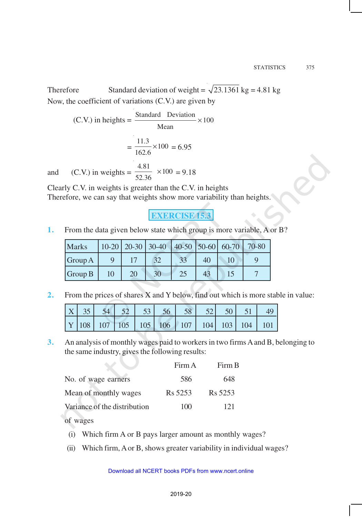Therefore Standard deviation of weight =  $\sqrt{23.1361}$  kg = 4.81 kg Now, the coefficient of variations (C.V.) are given by

 $(C.V.)$  in heights =  $\frac{\text{Standard Deviation}}{100} \times 100$ Mean ×  $=\frac{11.3}{162.5} \times 100$ 162 6 *.*  $\frac{6}{6}$  × 100 = 6.95 and (C.V.) in weights =  $\frac{4.81}{50.26}$  × 100 52 36 *.*  $\frac{1}{0.36}$  × 100 = 9.18

Clearly C.V. in weights is greater than the C.V. in heights Therefore, we can say that weights show more variability than heights.

**EXERCISE 15.3**

**1.** From the data given below state which group is more variable, A or B?

| <b>Marks</b> |    | $10-20$   20-30   30-40 |    |    | $ 40-50 50-60 60-70 70-80$ |  |
|--------------|----|-------------------------|----|----|----------------------------|--|
| Group A      |    |                         | 33 | 40 |                            |  |
| Group B      | 20 | 30                      | 25 |    |                            |  |

**2.** From the prices of shares X and Y below, find out which is more stable in value:

|  |  | $\vert$ Y $\vert$ 108 $\vert$ 107 $\vert$ 105 $\vert$ 105 $\vert$ 106 $\vert$ 107 $\vert$ 104 $\vert$ 103 $\vert$ 104 $\vert$ 101 $\vert$ |  |  |  |
|--|--|-------------------------------------------------------------------------------------------------------------------------------------------|--|--|--|

**3.** An analysis of monthly wages paid to workers in two firms A and B, belonging to the same industry, gives the following results:

|                              | Firm A  | Firm B              |
|------------------------------|---------|---------------------|
| No. of wage earners          | 586     | 648                 |
| Mean of monthly wages        | Rs 5253 | R <sub>s</sub> 5253 |
| Variance of the distribution | 100     | 121                 |

of wages

- (i) Which firm A or B pays larger amount as monthly wages?
- (ii) Which firm, A or B, shows greater variability in individual wages?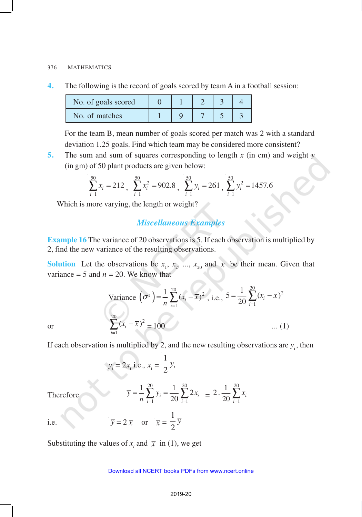#### 376 MATHEMATICS

**4.** The following is the record of goals scored by team A in a football session:

| No. of goals scored |  |  |  |
|---------------------|--|--|--|
| No. of matches      |  |  |  |

For the team B, mean number of goals scored per match was 2 with a standard deviation 1.25 goals. Find which team may be considered more consistent?

**5.** The sum and sum of squares corresponding to length *x* (in cm) and weight *y* (in gm) of 50 plant products are given below:

$$
\sum_{i=1}^{50} x_i = 212 , \sum_{i=1}^{50} x_i^2 = 902.8 , \sum_{i=1}^{50} y_i = 261 , \sum_{i=1}^{50} y_i^2 = 1457.6
$$

Which is more varying, the length or weight?

## *Miscellaneous Examples*

**Example 16** The variance of 20 observations is 5. If each observation is multiplied by 2, find the new variance of the resulting observations.

**Solution** Let the observations be  $x_1, x_2, ..., x_{20}$  and  $\bar{x}$  be their mean. Given that variance  $= 5$  and  $n = 20$ . We know that

Variance 
$$
(\sigma^2)
$$
 =  $\frac{1}{n} \sum_{i=1}^{20} (x_i - \overline{x})^2$ , i.e.,  $5 = \frac{1}{20} \sum_{i=1}^{20} (x_i - \overline{x})^2$   

$$
\sum_{i=1}^{20} (x_i - \overline{x})^2 = 100
$$
 ... (1)

or

If each observation is multiplied by 2, and the new resulting observations are  $y_i$ , then

$$
y_i = 2x_i
$$
 i.e.,  $x_i = \frac{1}{2}y_i$ 

Therefore

Therefore  
\n
$$
\overline{y} = \frac{1}{n} \sum_{i=1}^{20} y_i = \frac{1}{20} \sum_{i=1}^{20} 2x_i = 2 \cdot \frac{1}{20} \sum_{i=1}^{20} x_i
$$
\ni.e. 
$$
\overline{y} = 2 \overline{x} \text{ or } \overline{x} = \frac{1}{2} \overline{y}
$$

Substituting the values of  $x_i$  and  $\bar{x}$  in (1), we get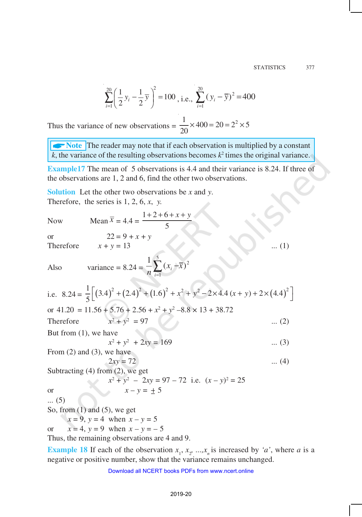$$
\sum_{i=1}^{20} \left( \frac{1}{2} y_i - \frac{1}{2} \overline{y} \right)^2 = 100 \text{ , i.e., } \sum_{i=1}^{20} (y_i - \overline{y})^2 = 400
$$

Thus the variance of new observations =  $\frac{1}{20} \times 400 = 20 = 2^2 \times 5$ 20  $\times 400 = 20 = 2^2 \times$ 

**ANOTE** The reader may note that if each observation is multiplied by a constant  $k$ , the variance of the resulting observations becomes  $k^2$  times the original variance.

**Example17** The mean of 5 observations is 4.4 and their variance is 8.24. If three of the observations are 1, 2 and 6, find the other two observations.

**Solution** Let the other two observations be *x* and *y*. Therefore, the series is 1, 2, 6, *x*, *y.*

Now Mean  $\bar{x}$ 

$$
= 4.4 = \frac{1+2+6+x+y}{5}
$$

or 
$$
22 = 9 + x + y
$$
  
Therefore  $x + y = 13$  ... (1)

 $Also$ 

variance = 8.24 = 
$$
\frac{1}{n} \sum_{i=1}^{5} (x_i - \overline{x})^2
$$

i.e. 
$$
8.24 = \frac{1}{5} \Big[ (3.4)^2 + (2.4)^2 + (1.6)^2 + x^2 + y^2 - 2 \times 4.4 (x + y) + 2 \times (4.4)^2 \Big]
$$
  
or 41.20 = 11.56 + 5.76 + 2.56 + x<sup>2</sup> + y<sup>2</sup> - 8.8 × 13 + 38.72

Therefore 
$$
x^2 + y^2 = 97
$$
 ... (2)

we have  

$$
x^2 + y^2 + 2xy = 169
$$
 ... (3)

From  $(2)$  and  $(3)$ , we have

But from  $(1)$ ,

$$
2xy = 72
$$
 ... (4)  
Subtracting (4) from (2), we get

or  
\n
$$
x^{2} + y^{2} - 2xy = 97 - 72
$$
 i.e.  $(x - y)^{2} = 25$   
\nor  
\n
$$
x - y = \pm 5
$$

... (5)

So, from  $(1)$  and  $(5)$ , we get

 $x = 9$ ,  $y = 4$  when  $x - y = 5$ 

or  $x = 4$ ,  $y = 9$  when  $x - y = -5$ 

Thus, the remaining observations are 4 and 9.

**Example 18** If each of the observation  $x_1, x_2, ..., x_n$  is increased by *'a'*, where *a* is a negative or positive number, show that the variance remains unchanged.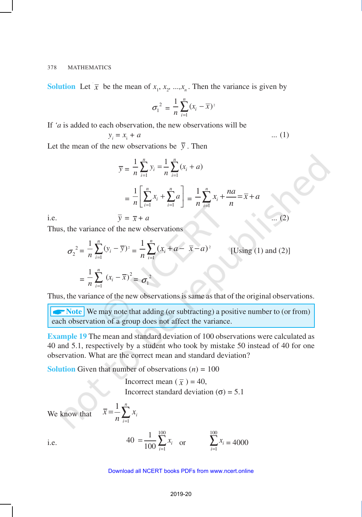**Solution** Let  $\bar{x}$  be the mean of  $x_1, x_2, ..., x_n$ . Then the variance is given by

$$
\sigma_1^2 = \frac{1}{n} \sum_{i=1}^n (x_i - \overline{x})^2
$$

If *'a* is added to each observation, the new observations will be

$$
y_i = x_i + a \tag{1}
$$

Let the mean of the new observations be  $\bar{y}$ . Then

$$
\overline{y} = \frac{1}{n} \sum_{i=1}^{n} y_i = \frac{1}{n} \sum_{i=1}^{n} (x_i + a)
$$

$$
= \frac{1}{n} \left[ \sum_{i=1}^{n} x_i + \sum_{i=1}^{n} a \right] = \frac{1}{n} \sum_{i=1}^{n} x_i + \frac{na}{n} = \overline{x} + a
$$
  
i.e. 
$$
\overline{y} = \overline{x} + a \qquad (2)
$$

Thus, the variance of the new observations

$$
\sigma_2^2 = \frac{1}{n} \sum_{i=1}^n (y_i - \overline{y})^2 = \frac{1}{n} \sum_{i=1}^n (x_i + a - \overline{x} - a)^2
$$
 [Using (1) and (2)]  

$$
= \frac{1}{n} \sum_{i=1}^n (x_i - \overline{x})^2 = \sigma_1^2
$$

Thus, the variance of the new observations is same as that of the original observations.

**ANOTE** We may note that adding (or subtracting) a positive number to (or from) each observation of a group does not affect the variance.

**Example 19** The mean and standard deviation of 100 observations were calculated as 40 and 5.1, respectively by a student who took by mistake 50 instead of 40 for one observation. What are the correct mean and standard deviation?

**Solution** Given that number of observations  $(n) = 100$ 

*i x*

 $=$  $\frac{1}{2}$  $\sum_{n=1}^{n}$ 

 $\bar{x} = \frac{1}{x}$ 

Incorrect mean  $(\bar{x}) = 40$ , Incorrect standard deviation  $(\sigma) = 5.1$ 

We know that

$$
n \frac{1}{i=1}
$$
  
40 =  $\frac{1}{100} \sum_{i=1}^{100} x_i$  or

$$
\sum_{i=1}^{100} x_i = 4000
$$

i.e.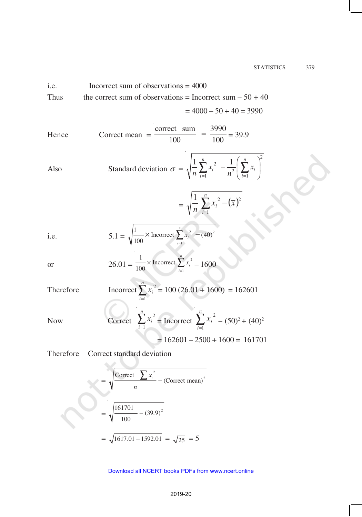#### STATISTICS 379

i.e.   
Incorrect sum of observations = 
$$
4000
$$
  
Thus the correct sum of observations = Incorrect sum –  $50 + 40$   
=  $4000 - 50 + 40 = 3990$ 

Hence Correct mean 
$$
=\frac{\text{correct sum}}{100} = \frac{3990}{100} = 39.9
$$

Also 
$$
\text{Standard deviation } \sigma = \sqrt{\frac{1}{n} \sum_{i=1}^{n} x_i^2 - \frac{1}{n^2} \left( \sum_{i=1}^{n} x_i \right)^2}
$$

$$
= \sqrt{\frac{1}{n} \sum_{i=1}^{n} x_i^2 - (\bar{x})^2}
$$

i.e. 
$$
5.1 = \sqrt{\frac{1}{100} \times \text{Incorrect } \sum_{i=1}^{n} x_i^2 - (40)^2}
$$

or 
$$
26.01 = \frac{1}{100} \times \text{Incorrect } \sum_{i=1}^{n} x_i^2 - 1600
$$

Therefore 
$$
\text{Incorrect } \sum_{i=1}^{n} x_i^2 = 100 (26.01 + 1600) = 162601
$$

Now Correct 
$$
\sum_{i=1}^{n} x_i^2 = \text{Incorrect } \sum_{i=1}^{n} x_i^2 = (50)^2 + (40)^2
$$

$$
= 162601 - 2500 + 1600 = 161701
$$

Therefore Correct standard deviation

 $\sim$  C  $\geq$ 

$$
= \sqrt{\frac{\text{Correct } \sum x_i^2}{n} - (\text{Correct } \text{mean})^2}
$$

$$
= \sqrt{\frac{161701}{100} - (39.9)^2}
$$

$$
= \sqrt{1617.01 - 1592.01} = \sqrt{25} = 5
$$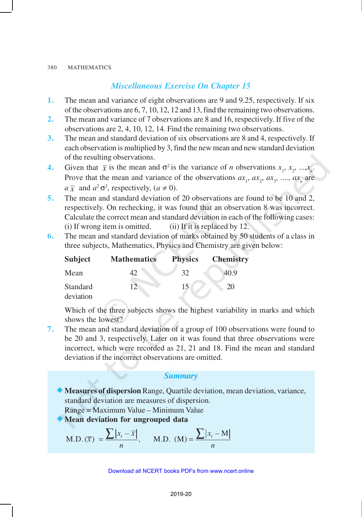## *Miscellaneous Exercise On Chapter 15*

- **1.** The mean and variance of eight observations are 9 and 9.25, respectively. If six of the observations are 6, 7, 10, 12, 12 and 13, find the remaining two observations.
- **2.** The mean and variance of 7 observations are 8 and 16, respectively. If five of the observations are 2, 4, 10, 12, 14. Find the remaining two observations.
- **3.** The mean and standard deviation of six observations are 8 and 4, respectively. If each observation is multiplied by 3, find the new mean and new standard deviation of the resulting observations.
- **4.** Given that  $\bar{x}$  is the mean and  $\sigma^2$  is the variance of *n* observations  $x_1, x_2, ..., x_n$ . Prove that the mean and variance of the observations  $ax_1$ ,  $ax_2$ ,  $ax_3$ , ...,  $ax_n$  are  $a\overline{x}$  and  $a^2\sigma^2$ , respectively,  $(a \neq 0)$ .
- **5.** The mean and standard deviation of 20 observations are found to be 10 and 2, respectively. On rechecking, it was found that an observation 8 was incorrect. Calculate the correct mean and standard deviation in each of the following cases: (i) If wrong item is omitted.  $(i)$  If it is replaced by 12.
- **6.** The mean and standard deviation of marks obtained by 50 students of a class in three subjects, Mathematics, Physics and Chemistry are given below:

| <b>Subject</b>        | <b>Mathematics</b> | <b>Physics</b> | <b>Chemistry</b> |
|-----------------------|--------------------|----------------|------------------|
| Mean                  | 42                 | 32             | 40.9             |
| Standard<br>deviation | 12                 | 15             | 20               |

Which of the three subjects shows the highest variability in marks and which shows the lowest?

**7.** The mean and standard deviation of a group of 100 observations were found to be 20 and 3, respectively. Later on it was found that three observations were incorrect, which were recorded as 21, 21 and 18. Find the mean and standard deviation if the incorrect observations are omitted.

## *Summary*

- ®**Measures of dispersion** Range, Quartile deviation, mean deviation, variance, standard deviation are measures of dispersion. Range = Maximum Value – Minimum Value
- ®**Mean deviation for ungrouped data**

M.D. 
$$
(\overline{x}) = \frac{\sum |x_i - \overline{x}|}{n}
$$
, M.D.  $(M) = \frac{\sum |x_i - M|}{n}$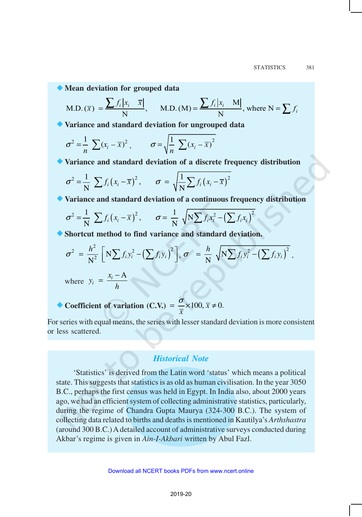®**Mean deviation for grouped data**

M.D. 
$$
(\overline{x}) = \frac{\sum f_i |x_i - \overline{x}|}{N}
$$
, M.D.  $(M) = \frac{\sum f_i |x_i - M|}{N}$ , where  $N = \sum f_i$ 

®**Variance and standard deviation for ungrouped data**

$$
\sigma^2 = \frac{1}{n} \sum (x_i - \overline{x})^2, \qquad \sigma = \sqrt{\frac{1}{n} \sum (x_i - \overline{x})^2}
$$

®**Variance and standard deviation of a discrete frequency distribution**

$$
\sigma^2 = \frac{1}{N} \sum f_i (x_i - \overline{x})^2, \qquad \sigma = \sqrt{\frac{1}{N} \sum f_i (x_i - \overline{x})^2}
$$

®**Variance and standard deviation of a continuous frequency distribution**

$$
\sigma^2 = \frac{1}{N} \sum f_i (x_i - \overline{x})^2, \qquad \sigma = \frac{1}{N} \sqrt{N \sum f_i x_i^2 - (\sum f_i x_i)^2}
$$

®**Shortcut method to find variance and standard deviation.**

$$
\sigma^2 = \frac{h^2}{N^2} \left[ N \sum f_i y_i^2 - \left( \sum f_i y_i \right)^2 \right], \sigma = \frac{h}{N} \sqrt{N \sum f_i y_i^2 - \left( \sum f_i y_i \right)^2},
$$

where  $y_i = \frac{x_i - A}{l_i}$  $y_i = \frac{x}{x}$ *h*  $=\frac{x_i-$ 

► Coefficient of variation (C.V.) = 
$$
\frac{\sigma}{\overline{x}} \times 100, \overline{x} \neq 0.
$$

For series with equal means, the series with lesser standard deviation is more consistent or less scattered.

## *Historical Note*

'Statistics' is derived from the Latin word 'status' which means a political state. This suggests that statistics is as old as human civilisation. In the year 3050 B.C., perhaps the first census was held in Egypt. In India also, about 2000 years ago, we had an efficient system of collecting administrative statistics, particularly, during the regime of Chandra Gupta Maurya (324-300 B.C.). The system of collecting data related to births and deaths is mentioned in Kautilya's *Arthshastra* (around 300 B.C.) A detailed account of administrative surveys conducted during Akbar's regime is given in *Ain-I-Akbari* written by Abul Fazl.